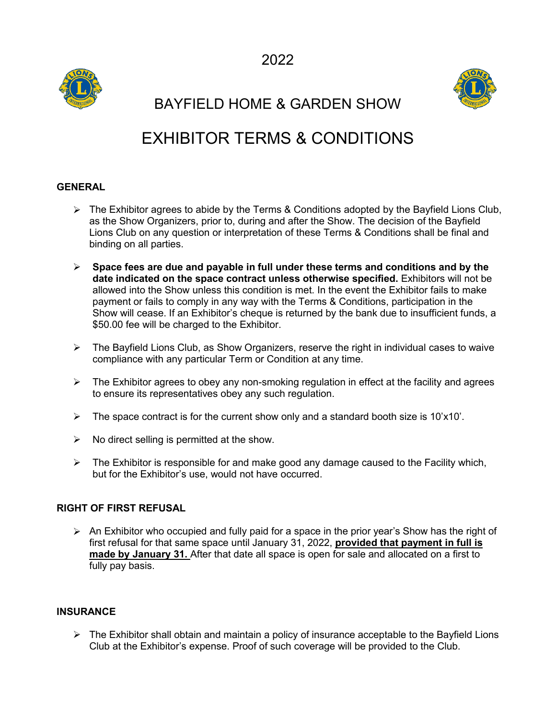



BAYFIELD HOME & GARDEN SHOW

# EXHIBITOR TERMS & CONDITIONS

### **GENERAL**

- $\triangleright$  The Exhibitor agrees to abide by the Terms & Conditions adopted by the Bayfield Lions Club, as the Show Organizers, prior to, during and after the Show. The decision of the Bayfield Lions Club on any question or interpretation of these Terms & Conditions shall be final and binding on all parties.
- **Space fees are due and payable in full under these terms and conditions and by the date indicated on the space contractunless otherwise specified.** Exhibitors will not be allowed into the Show unless this condition is met. In the event the Exhibitor fails to make payment or fails to comply in any way with the Terms & Conditions, participation in the Show will cease. If an Exhibitor's cheque is returned by the bank due to insufficient funds, a \$50.00 fee will be charged to the Exhibitor.
- $\triangleright$  The Bayfield Lions Club, as Show Organizers, reserve the right in individual cases to waive compliance with any particular Term or Condition at any time.
- $\triangleright$  The Exhibitor agrees to obey any non-smoking regulation in effect at the facility and agrees to ensure its representatives obey any such regulation.
- $\triangleright$  The space contract is for the current show only and a standard booth size is 10'x10'.
- $\triangleright$  No direct selling is permitted at the show.
- $\triangleright$  The Exhibitor is responsible for and make good any damage caused to the Facility which, but for the Exhibitor's use, would not have occurred.

#### **RIGHT OF FIRST REFUSAL**

 $\triangleright$  An Exhibitor who occupied and fully paid for a space in the prior year's Show has the right of first refusal for that same space until January 31, 2022, **provided that payment in full is made by January 31.** After that date all space is open for sale and allocated on a first to fully pay basis.

#### **INSURANCE**

 $\triangleright$  The Exhibitor shall obtain and maintain a policy of insurance acceptable to the Bayfield Lions Club at the Exhibitor's expense. Proof of such coverage will be provided to the Club.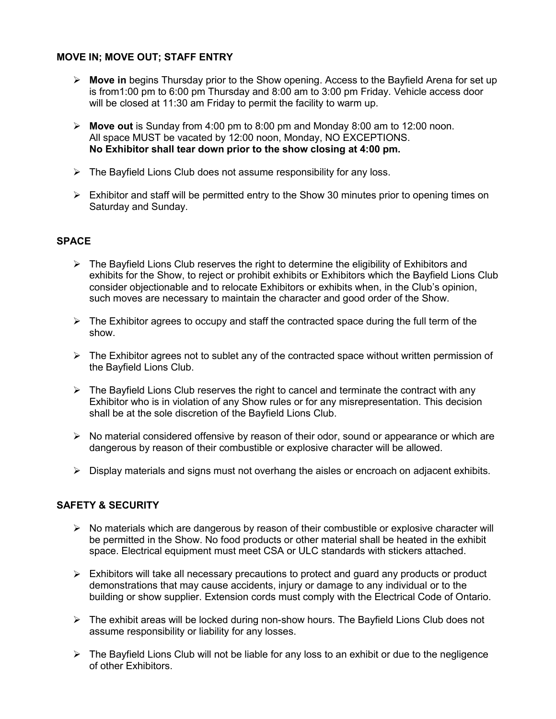#### **MOVE IN; MOVE OUT; STAFF ENTRY**

- **Move in** begins Thursday prior to the Show opening. Access to the Bayfield Arena for set up is from1:00 pm to 6:00 pm Thursday and 8:00 am to 3:00 pm Friday. Vehicle access door will be closed at 11:30 am Friday to permit the facility to warm up.
- **Move out** is Sunday from 4:00 pm to 8:00 pm and Monday 8:00 am to 12:00 noon. All space MUST be vacated by 12:00 noon, Monday, NO EXCEPTIONS. **No Exhibitor shall tear down prior to the show closing at 4:00 pm.**
- $\triangleright$  The Bayfield Lions Club does not assume responsibility for any loss.
- $\triangleright$  Exhibitor and staff will be permitted entry to the Show 30 minutes prior to opening times on Saturday and Sunday.

#### **SPACE**

- $\triangleright$  The Bayfield Lions Club reserves the right to determine the eligibility of Exhibitors and exhibits for the Show, to reject or prohibit exhibits or Exhibitors which the Bayfield Lions Club consider objectionable and to relocate Exhibitors or exhibits when, in the Club's opinion, such moves are necessary to maintain the character and good order of the Show.
- $\triangleright$  The Exhibitor agrees to occupy and staff the contracted space during the full term of the show.
- $\triangleright$  The Exhibitor agrees not to sublet any of the contracted space without written permission of the Bayfield Lions Club.
- $\triangleright$  The Bayfield Lions Club reserves the right to cancel and terminate the contract with any Exhibitor who is in violation of any Show rules or for any misrepresentation. This decision shall be at the sole discretion of the Bayfield Lions Club.
- $\triangleright$  No material considered offensive by reason of their odor, sound or appearance or which are dangerous by reason of their combustible or explosive character will be allowed.
- $\triangleright$  Display materials and signs must not overhang the aisles or encroach on adjacent exhibits.

#### **SAFETY & SECURITY**

- $\triangleright$  No materials which are dangerous by reason of their combustible or explosive character will be permitted in the Show. No food products or other material shall be heated in the exhibit space. Electrical equipment must meet CSA or ULC standards with stickers attached.
- $\triangleright$  Exhibitors will take all necessary precautions to protect and guard any products or product demonstrations that may cause accidents, injury or damage to any individual or to the building or show supplier. Extension cords must comply with the Electrical Code of Ontario.
- $\triangleright$  The exhibit areas will be locked during non-show hours. The Bayfield Lions Club does not assume responsibility or liability for any losses.
- $\triangleright$  The Bayfield Lions Club will not be liable for any loss to an exhibit or due to the negligence of other Exhibitors.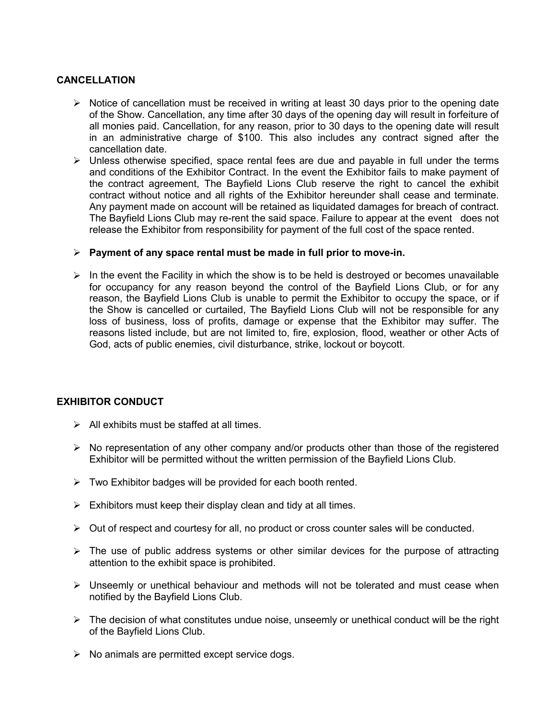#### **CANCELLATION**

- $\triangleright$  Notice of cancellation must be received in writing at least 30 days prior to the opening date of the Show. Cancellation, any time after 30 days of the opening day will result in forfeiture of all monies paid. Cancellation, for any reason, prior to 30 days to the opening date will result in an administrative charge of \$100. This also includes any contract signed after the cancellation date.
- $\triangleright$  Unless otherwise specified, space rental fees are due and payable in full under the terms and conditions of the Exhibitor Contract. In the event the Exhibitor fails to make payment of the contract agreement, The Bayfield Lions Club reserve the right to cancel the exhibit contract without notice and all rights of the Exhibitor hereunder shall cease and terminate. Any payment made on account will be retained as liquidated damages for breach of contract. The Bayfield Lions Club may re-rent the said space.Failure to appear at the event does not release the Exhibitor from responsibility for payment of the full cost of the space rented.

#### **Payment of any space rental must be made in full prior to move-in.**

 $\triangleright$  In the event the Facility in which the show is to be held is destroyed or becomes unavailable for occupancy for any reason beyond the control of the Bayfield Lions Club, or for any reason, the Bayfield Lions Club is unable to permit the Exhibitor to occupy the space, or if the Show is cancelled or curtailed, The Bayfield Lions Club will not be responsible for any loss of business, loss of profits, damage or expense that the Exhibitor may suffer. The reasons listed include, but are not limited to, fire, explosion, flood, weather or other Acts of God, acts of public enemies, civil disturbance, strike, lockout or boycott.

#### **EXHIBITOR CONDUCT**

- $\triangleright$  All exhibits must be staffed at all times.
- $\triangleright$  No representation of any other company and/or products other than those of the registered Exhibitor will be permitted without the written permission of the Bayfield Lions Club.
- $\triangleright$  Two Exhibitor badges will be provided for each booth rented.
- $\triangleright$  Exhibitors must keep their display clean and tidy at all times.
- $\triangleright$  Out of respect and courtesy for all, no product or cross counter sales will be conducted.
- $\triangleright$  The use of public address systems or other similar devices for the purpose of attracting attention to the exhibit space is prohibited.
- $\triangleright$  Unseemly or unethical behaviour and methods will not be tolerated and must cease when notified by the Bayfield Lions Club.
- $\triangleright$  The decision of what constitutes undue noise, unseemly or unethical conduct will be the right of the Bayfield Lions Club.
- $\triangleright$  No animals are permitted except service dogs.